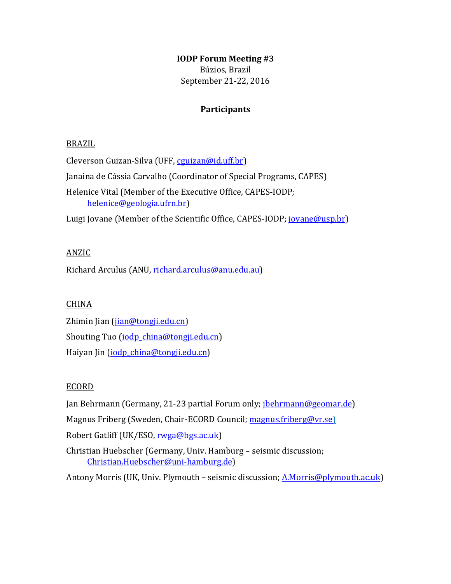## **IODP Forum Meeting #3**

Búzios, Brazil September 21-22, 2016

## **Participants**

### BRAZIL

Cleverson Guizan-Silva (UFF, cguizan@id.uff.br)

Janaina de Cássia Carvalho (Coordinator of Special Programs, CAPES)

Helenice Vital (Member of the Executive Office, CAPES-IODP; helenice@geologia.ufrn.br)

Luigi Jovane (Member of the Scientific Office, CAPES-IODP; jovane@usp.br)

### ANZIC

Richard Arculus (ANU, richard.arculus@anu.edu.au)

### CHINA

Zhimin Jian (jian@tongji.edu.cn) Shouting Tuo (iodp\_china@tongji.edu.cn) Haiyan Jin (iodp\_china@tongji.edu.cn)

### ECORD

Jan Behrmann (Germany, 21-23 partial Forum only; *jbehrmann@geomar.de*)

Magnus Friberg (Sweden, Chair-ECORD Council; magnus.friberg@vr.se)

Robert Gatliff (UK/ESO, rwga@bgs.ac.uk)

Christian Huebscher (Germany, Univ. Hamburg - seismic discussion; Christian.Huebscher@uni-hamburg.de)

Antony Morris (UK, Univ. Plymouth – seismic discussion; A.Morris@plymouth.ac.uk)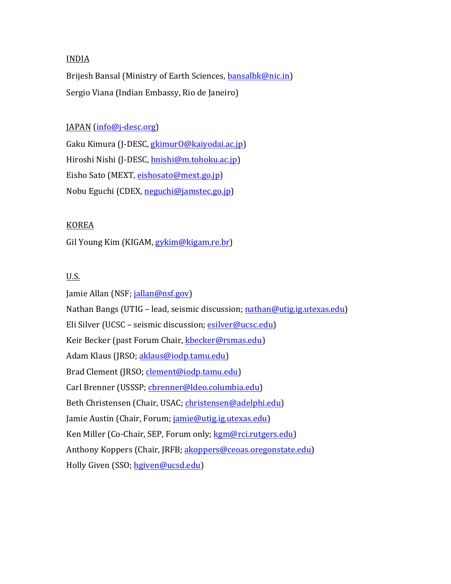### INDIA

Brijesh Bansal (Ministry of Earth Sciences, bansalbk@nic.in) Sergio Viana (Indian Embassy, Rio de Janeiro)

### $IAPAN$  (info@j-desc.org)

Gaku Kimura (J-DESC, gkimurO@kaiyodai.ac.jp) Hiroshi Nishi (J-DESC, hnishi@m.tohoku.ac.jp) Eisho Sato (MEXT, eishosato@mext.go.jp) Nobu Eguchi (CDEX, neguchi@jamstec.go.jp)

### KOREA

Gil Young Kim (KIGAM, gykim@kigam.re.br)

## U.S.

Jamie Allan (NSF; jallan@nsf.gov) Nathan Bangs (UTIG - lead, seismic discussion; nathan@utig.ig.utexas.edu) Eli Silver (UCSC - seismic discussion; esilver@ucsc.edu) Keir Becker (past Forum Chair, kbecker@rsmas.edu) Adam Klaus (JRSO; aklaus@iodp.tamu.edu) Brad Clement (JRSO; clement@iodp.tamu.edu) Carl Brenner (USSSP; cbrenner@ldeo.columbia.edu) Beth Christensen (Chair, USAC; christensen@adelphi.edu) Jamie Austin (Chair, Forum; jamie@utig.ig.utexas.edu) Ken Miller (Co-Chair, SEP, Forum only; kgm@rci.rutgers.edu) Anthony Koppers (Chair, JRFB; akoppers@ceoas.oregonstate.edu) Holly Given (SSO; hgiven@ucsd.edu)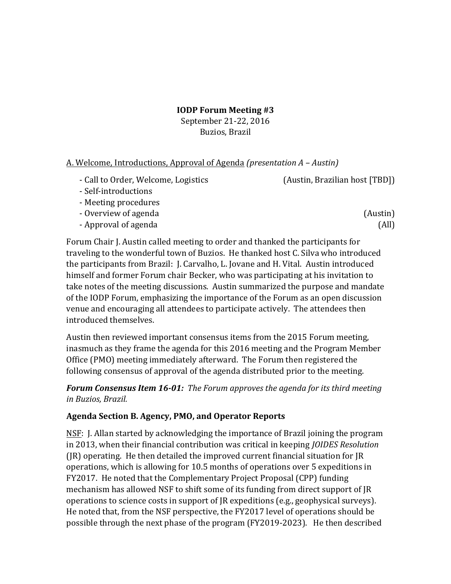**IODP Forum Meeting #3** 

September 21-22, 2016 Buzios, Brazil

## A. Welcome, Introductions, Approval of Agenda *(presentation A – Austin)*

- Call to Order, Welcome, Logistics (Austin, Brazilian host [TBD]) -‐ Self-‐introductions
- Meeting procedures
- Overview of agenda (Austin)
- Approval of agenda (All)

Forum Chair J. Austin called meeting to order and thanked the participants for traveling to the wonderful town of Buzios. He thanked host C. Silva who introduced the participants from Brazil: J. Carvalho, L. Jovane and H. Vital. Austin introduced himself and former Forum chair Becker, who was participating at his invitation to take notes of the meeting discussions. Austin summarized the purpose and mandate of the IODP Forum, emphasizing the importance of the Forum as an open discussion venue and encouraging all attendees to participate actively. The attendees then introduced themselves.

Austin then reviewed important consensus items from the 2015 Forum meeting, inasmuch as they frame the agenda for this 2016 meeting and the Program Member Office (PMO) meeting immediately afterward. The Forum then registered the following consensus of approval of the agenda distributed prior to the meeting.

**Forum Consensus Item 16-01:** The Forum approves the agenda for its third meeting in Buzios, Brazil.

# Agenda Section B. Agency, PMO, and Operator Reports

NSF: J. Allan started by acknowledging the importance of Brazil joining the program in 2013, when their financial contribution was critical in keeping *JOIDES Resolution*  $(IR)$  operating. He then detailed the improved current financial situation for  $IR$ operations, which is allowing for 10.5 months of operations over 5 expeditions in FY2017. He noted that the Complementary Project Proposal (CPP) funding mechanism has allowed NSF to shift some of its funding from direct support of JR operations to science costs in support of JR expeditions (e.g., geophysical surveys). He noted that, from the NSF perspective, the FY2017 level of operations should be possible through the next phase of the program (FY2019-2023). He then described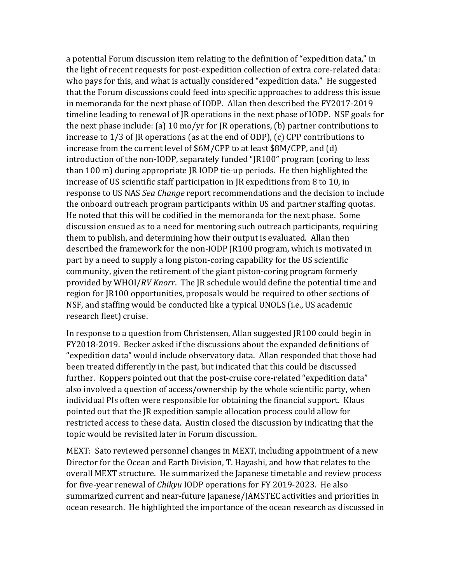a potential Forum discussion item relating to the definition of "expedition data," in the light of recent requests for post-expedition collection of extra core-related data: who pays for this, and what is actually considered "expedition data." He suggested that the Forum discussions could feed into specific approaches to address this issue in memoranda for the next phase of IODP. Allan then described the FY2017-2019 timeline leading to renewal of IR operations in the next phase of IODP. NSF goals for the next phase include: (a)  $10 \text{ mo/yr}$  for JR operations, (b) partner contributions to increase to  $1/3$  of JR operations (as at the end of ODP), (c) CPP contributions to increase from the current level of \$6M/CPP to at least \$8M/CPP, and (d) introduction of the non-IODP, separately funded "JR100" program (coring to less than 100 m) during appropriate  $IR$  IODP tie-up periods. He then highlighted the increase of US scientific staff participation in JR expeditions from 8 to 10, in response to US NAS *Sea Change* report recommendations and the decision to include the onboard outreach program participants within US and partner staffing quotas. He noted that this will be codified in the memoranda for the next phase. Some discussion ensued as to a need for mentoring such outreach participants, requiring them to publish, and determining how their output is evaluated. Allan then described the framework for the non-IODP JR100 program, which is motivated in part by a need to supply a long piston-coring capability for the US scientific community, given the retirement of the giant piston-coring program formerly provided by WHOI/RV Knorr. The JR schedule would define the potential time and region for JR100 opportunities, proposals would be required to other sections of NSF, and staffing would be conducted like a typical UNOLS (i.e., US academic research fleet) cruise.

In response to a question from Christensen, Allan suggested JR100 could begin in FY2018-2019. Becker asked if the discussions about the expanded definitions of "expedition data" would include observatory data. Allan responded that those had been treated differently in the past, but indicated that this could be discussed further. Koppers pointed out that the post-cruise core-related "expedition data" also involved a question of access/ownership by the whole scientific party, when individual PIs often were responsible for obtaining the financial support. Klaus pointed out that the JR expedition sample allocation process could allow for restricted access to these data. Austin closed the discussion by indicating that the topic would be revisited later in Forum discussion.

MEXT: Sato reviewed personnel changes in MEXT, including appointment of a new Director for the Ocean and Earth Division, T. Hayashi, and how that relates to the overall MEXT structure. He summarized the Japanese timetable and review process for five-year renewal of *Chikyu* IODP operations for FY 2019-2023. He also summarized current and near-future Japanese/JAMSTEC activities and priorities in ocean research. He highlighted the importance of the ocean research as discussed in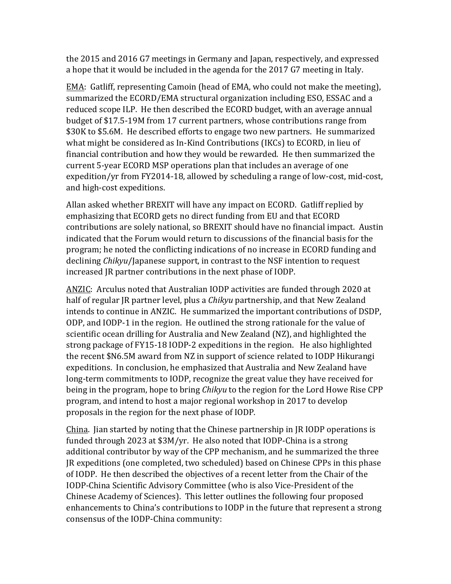the 2015 and 2016 G7 meetings in Germany and Japan, respectively, and expressed a hope that it would be included in the agenda for the 2017 G7 meeting in Italy.

EMA: Gatliff, representing Camoin (head of EMA, who could not make the meeting), summarized the ECORD/EMA structural organization including ESO, ESSAC and a reduced scope ILP. He then described the ECORD budget, with an average annual budget of \$17.5-19M from 17 current partners, whose contributions range from \$30K to \$5.6M. He described efforts to engage two new partners. He summarized what might be considered as In-Kind Contributions (IKCs) to ECORD, in lieu of financial contribution and how they would be rewarded. He then summarized the current 5-year ECORD MSP operations plan that includes an average of one expedition/yr from FY2014-18, allowed by scheduling a range of low-cost, mid-cost, and high-cost expeditions.

Allan asked whether BREXIT will have any impact on ECORD. Gatliff replied by emphasizing that ECORD gets no direct funding from EU and that ECORD contributions are solely national, so BREXIT should have no financial impact. Austin indicated that the Forum would return to discussions of the financial basis for the program; he noted the conflicting indications of no increase in ECORD funding and declining *Chikyu*/Japanese support, in contrast to the NSF intention to request increased JR partner contributions in the next phase of IODP.

ANZIC: Arculus noted that Australian IODP activities are funded through 2020 at half of regular JR partner level, plus a *Chikyu* partnership, and that New Zealand intends to continue in ANZIC. He summarized the important contributions of DSDP, ODP, and IODP-1 in the region. He outlined the strong rationale for the value of scientific ocean drilling for Australia and New Zealand (NZ), and highlighted the strong package of FY15-18 IODP-2 expeditions in the region. He also highlighted the recent \$N6.5M award from NZ in support of science related to IODP Hikurangi expeditions. In conclusion, he emphasized that Australia and New Zealand have long-term commitments to IODP, recognize the great value they have received for being in the program, hope to bring *Chikyu* to the region for the Lord Howe Rise CPP program, and intend to host a major regional workshop in 2017 to develop proposals in the region for the next phase of IODP.

China. Jian started by noting that the Chinese partnership in JR IODP operations is funded through 2023 at  $$3M/yr$ . He also noted that IODP-China is a strong additional contributor by way of the CPP mechanism, and he summarized the three IR expeditions (one completed, two scheduled) based on Chinese CPPs in this phase of IODP. He then described the objectives of a recent letter from the Chair of the IODP-China Scientific Advisory Committee (who is also Vice-President of the Chinese Academy of Sciences). This letter outlines the following four proposed enhancements to China's contributions to IODP in the future that represent a strong consensus of the IODP-China community: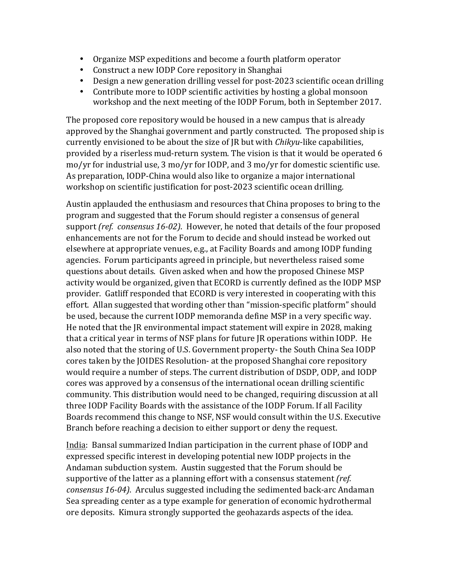- Organize MSP expeditions and become a fourth platform operator
- Construct a new IODP Core repository in Shanghai
- Design a new generation drilling vessel for post-2023 scientific ocean drilling
- Contribute more to IODP scientific activities by hosting a global monsoon workshop and the next meeting of the IODP Forum, both in September 2017.

The proposed core repository would be housed in a new campus that is already approved by the Shanghai government and partly constructed. The proposed ship is currently envisioned to be about the size of JR but with *Chikyu*-like capabilities, provided by a riserless mud-return system. The vision is that it would be operated 6 mo/yr for industrial use, 3 mo/yr for IODP, and 3 mo/yr for domestic scientific use. As preparation, IODP-China would also like to organize a major international workshop on scientific justification for post-2023 scientific ocean drilling.

Austin applauded the enthusiasm and resources that China proposes to bring to the program and suggested that the Forum should register a consensus of general support *(ref. consensus 16-02)*. However, he noted that details of the four proposed enhancements are not for the Forum to decide and should instead be worked out elsewhere at appropriate venues, e.g., at Facility Boards and among IODP funding agencies. Forum participants agreed in principle, but nevertheless raised some questions about details. Given asked when and how the proposed Chinese MSP activity would be organized, given that ECORD is currently defined as the IODP MSP provider. Gatliff responded that ECORD is very interested in cooperating with this effort. Allan suggested that wording other than "mission-specific platform" should be used, because the current IODP memoranda define MSP in a very specific way. He noted that the JR environmental impact statement will expire in 2028, making that a critical vear in terms of NSF plans for future IR operations within IODP. He also noted that the storing of U.S. Government property- the South China Sea IODP cores taken by the JOIDES Resolution- at the proposed Shanghai core repository would require a number of steps. The current distribution of DSDP, ODP, and IODP cores was approved by a consensus of the international ocean drilling scientific community. This distribution would need to be changed, requiring discussion at all three IODP Facility Boards with the assistance of the IODP Forum. If all Facility Boards recommend this change to NSF, NSF would consult within the U.S. Executive Branch before reaching a decision to either support or deny the request.

India: Bansal summarized Indian participation in the current phase of IODP and expressed specific interest in developing potential new IODP projects in the Andaman subduction system. Austin suggested that the Forum should be supportive of the latter as a planning effort with a consensus statement *(ref. consensus* 16-04). Arculus suggested including the sedimented back-arc Andaman Sea spreading center as a type example for generation of economic hydrothermal ore deposits. Kimura strongly supported the geohazards aspects of the idea.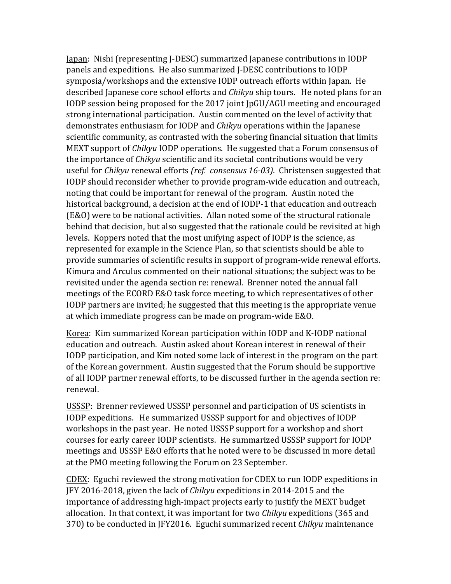Japan: Nishi (representing J-DESC) summarized Japanese contributions in IODP panels and expeditions. He also summarized I-DESC contributions to IODP symposia/workshops and the extensive IODP outreach efforts within Japan. He described Japanese core school efforts and *Chikyu* ship tours. He noted plans for an IODP session being proposed for the 2017 joint IpGU/AGU meeting and encouraged strong international participation. Austin commented on the level of activity that demonstrates enthusiasm for IODP and *Chikyu* operations within the Japanese scientific community, as contrasted with the sobering financial situation that limits MEXT support of *Chikyu* IODP operations. He suggested that a Forum consensus of the importance of *Chikyu* scientific and its societal contributions would be very useful for *Chikyu* renewal efforts *(ref. consensus* 16-03). Christensen suggested that IODP should reconsider whether to provide program-wide education and outreach, noting that could be important for renewal of the program. Austin noted the historical background, a decision at the end of IODP-1 that education and outreach (E&O) were to be national activities. Allan noted some of the structural rationale behind that decision, but also suggested that the rationale could be revisited at high levels. Koppers noted that the most unifying aspect of IODP is the science, as represented for example in the Science Plan, so that scientists should be able to provide summaries of scientific results in support of program-wide renewal efforts. Kimura and Arculus commented on their national situations; the subject was to be revisited under the agenda section re: renewal. Brenner noted the annual fall meetings of the ECORD E&O task force meeting, to which representatives of other IODP partners are invited; he suggested that this meeting is the appropriate venue at which immediate progress can be made on program-wide E&O.

Korea: Kim summarized Korean participation within IODP and K-IODP national education and outreach. Austin asked about Korean interest in renewal of their IODP participation, and Kim noted some lack of interest in the program on the part of the Korean government. Austin suggested that the Forum should be supportive of all IODP partner renewal efforts, to be discussed further in the agenda section re: renewal.

USSSP: Brenner reviewed USSSP personnel and participation of US scientists in IODP expeditions. He summarized USSSP support for and objectives of IODP workshops in the past year. He noted USSSP support for a workshop and short courses for early career IODP scientists. He summarized USSSP support for IODP meetings and USSSP E&O efforts that he noted were to be discussed in more detail at the PMO meeting following the Forum on 23 September.

CDEX: Eguchi reviewed the strong motivation for CDEX to run IODP expeditions in JFY 2016-2018, given the lack of *Chikyu* expeditions in 2014-2015 and the importance of addressing high-impact projects early to justify the MEXT budget allocation. In that context, it was important for two *Chikyu* expeditions (365 and 370) to be conducted in JFY2016. Eguchi summarized recent Chikyu maintenance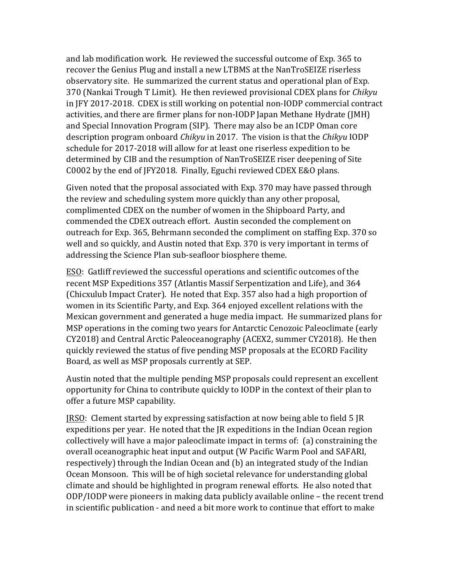and lab modification work. He reviewed the successful outcome of Exp. 365 to recover the Genius Plug and install a new LTBMS at the NanTroSEIZE riserless observatory site. He summarized the current status and operational plan of Exp. 370 (Nankai Trough T Limit). He then reviewed provisional CDEX plans for *Chikyu* in JFY 2017-2018. CDEX is still working on potential non-IODP commercial contract activities, and there are firmer plans for non-IODP Japan Methane Hydrate (JMH) and Special Innovation Program (SIP). There may also be an ICDP Oman core description program onboard *Chikyu* in 2017. The vision is that the *Chikyu* IODP schedule for 2017-2018 will allow for at least one riserless expedition to be determined by CIB and the resumption of NanTroSEIZE riser deepening of Site C0002 by the end of JFY2018. Finally, Eguchi reviewed CDEX E&O plans.

Given noted that the proposal associated with Exp. 370 may have passed through the review and scheduling system more quickly than any other proposal, complimented CDEX on the number of women in the Shipboard Party, and commended the CDEX outreach effort. Austin seconded the complement on outreach for Exp. 365, Behrmann seconded the compliment on staffing Exp. 370 so well and so quickly, and Austin noted that Exp. 370 is very important in terms of addressing the Science Plan sub-seafloor biosphere theme.

ESO: Gatliff reviewed the successful operations and scientific outcomes of the recent MSP Expeditions 357 (Atlantis Massif Serpentization and Life), and 364 (Chicxulub Impact Crater). He noted that Exp. 357 also had a high proportion of women in its Scientific Party, and Exp. 364 enjoyed excellent relations with the Mexican government and generated a huge media impact. He summarized plans for MSP operations in the coming two years for Antarctic Cenozoic Paleoclimate (early CY2018) and Central Arctic Paleoceanography (ACEX2, summer CY2018). He then quickly reviewed the status of five pending MSP proposals at the ECORD Facility Board, as well as MSP proposals currently at SEP.

Austin noted that the multiple pending MSP proposals could represent an excellent opportunity for China to contribute quickly to IODP in the context of their plan to offer a future MSP capability.

 $IRSO:$  Clement started by expressing satisfaction at now being able to field 5  $IR$ expeditions per year. He noted that the  $IR$  expeditions in the Indian Ocean region collectively will have a major paleoclimate impact in terms of: (a) constraining the overall oceanographic heat input and output (W Pacific Warm Pool and SAFARI, respectively) through the Indian Ocean and (b) an integrated study of the Indian Ocean Monsoon. This will be of high societal relevance for understanding global climate and should be highlighted in program renewal efforts. He also noted that ODP/IODP were pioneers in making data publicly available online – the recent trend in scientific publication - and need a bit more work to continue that effort to make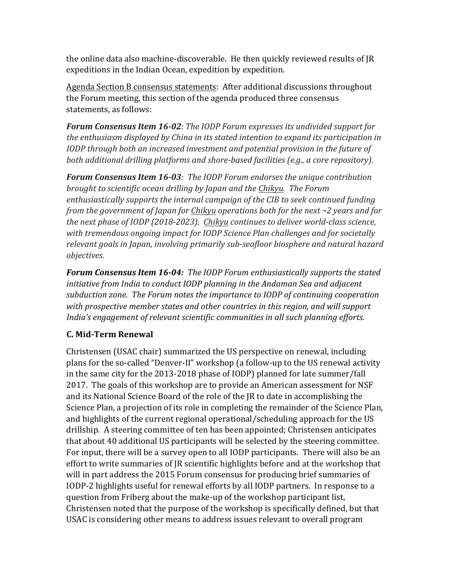the online data also machine-discoverable. He then quickly reviewed results of IR expeditions in the Indian Ocean, expedition by expedition.

Agenda Section B consensus statements: After additional discussions throughout the Forum meeting, this section of the agenda produced three consensus statements, as follows:

Forum Consensus Item 16-02: The IODP Forum expresses its undivided support for the enthusiasm displayed by China in its stated intention to expand its participation in *IODP* through both an increased investment and potential provision in the future of both additional drilling platforms and shore-based facilities (e.g., a core repository).

Forum Consensus Item 16-03: The IODP Forum endorses the unique contribution *brought to scientific ocean drilling by Japan and the Chikyu. The Forum* enthusiastically supports the internal campaign of the CIB to seek continued funding *from the government of Japan for Chikyu operations both for the next* ~2 years and for the next phase of IODP (2018-2023). Chikyu continues to deliver world-class science, with tremendous ongoing impact for IODP Science Plan challenges and for societally relevant goals in Japan, involving primarily sub-seafloor biosphere and natural hazard *objectives.*

**Forum Consensus Item 16-04:** The IODP Forum enthusiastically supports the stated initiative from India to conduct IODP planning in the Andaman Sea and adjacent subduction zone. The Forum notes the importance to IODP of continuing cooperation with prospective member states and other countries in this region, and will support India's engagement of relevant scientific communities in all such planning efforts.

# **C. Mid-Term Renewal**

Christensen (USAC chair) summarized the US perspective on renewal, including plans for the so-called "Denver-II" workshop (a follow-up to the US renewal activity in the same city for the  $2013$ -2018 phase of  $IODP$  planned for late summer/fall 2017. The goals of this workshop are to provide an American assessment for NSF and its National Science Board of the role of the JR to date in accomplishing the Science Plan, a projection of its role in completing the remainder of the Science Plan, and highlights of the current regional operational/scheduling approach for the US drillship. A steering committee of ten has been appointed; Christensen anticipates that about 40 additional US participants will be selected by the steering committee. For input, there will be a survey open to all IODP participants. There will also be an effort to write summaries of JR scientific highlights before and at the workshop that will in part address the 2015 Forum consensus for producing brief summaries of IODP-2 highlights useful for renewal efforts by all IODP partners. In response to a question from Friberg about the make-up of the workshop participant list, Christensen noted that the purpose of the workshop is specifically defined, but that USAC is considering other means to address issues relevant to overall program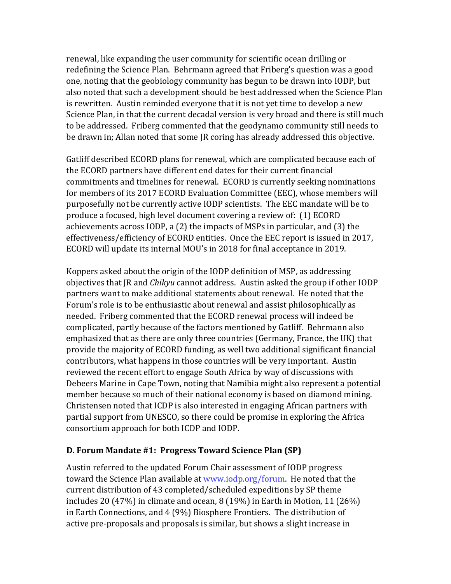renewal, like expanding the user community for scientific ocean drilling or redefining the Science Plan. Behrmann agreed that Friberg's question was a good one, noting that the geobiology community has begun to be drawn into IODP, but also noted that such a development should be best addressed when the Science Plan is rewritten. Austin reminded everyone that it is not yet time to develop a new Science Plan, in that the current decadal version is very broad and there is still much to be addressed. Friberg commented that the geodynamo community still needs to be drawn in; Allan noted that some JR coring has already addressed this objective.

Gatliff described ECORD plans for renewal, which are complicated because each of the ECORD partners have different end dates for their current financial commitments and timelines for renewal. ECORD is currently seeking nominations for members of its 2017 ECORD Evaluation Committee (EEC), whose members will purposefully not be currently active IODP scientists. The EEC mandate will be to produce a focused, high level document covering a review of: (1) ECORD achievements across IODP, a  $(2)$  the impacts of MSPs in particular, and  $(3)$  the effectiveness/efficiency of ECORD entities. Once the EEC report is issued in 2017, ECORD will update its internal MOU's in 2018 for final acceptance in 2019.

Koppers asked about the origin of the IODP definition of MSP, as addressing objectives that JR and *Chikyu* cannot address. Austin asked the group if other IODP partners want to make additional statements about renewal. He noted that the Forum's role is to be enthusiastic about renewal and assist philosophically as needed. Friberg commented that the ECORD renewal process will indeed be complicated, partly because of the factors mentioned by Gatliff. Behrmann also emphasized that as there are only three countries (Germany, France, the UK) that provide the majority of ECORD funding, as well two additional significant financial contributors, what happens in those countries will be very important. Austin reviewed the recent effort to engage South Africa by way of discussions with Debeers Marine in Cape Town, noting that Namibia might also represent a potential member because so much of their national economy is based on diamond mining. Christensen noted that ICDP is also interested in engaging African partners with partial support from UNESCO, so there could be promise in exploring the Africa consortium approach for both ICDP and IODP.

# **D. Forum Mandate #1: Progress Toward Science Plan (SP)**

Austin referred to the updated Forum Chair assessment of IODP progress toward the Science Plan available at www.jodp.org/forum. He noted that the current distribution of 43 completed/scheduled expeditions by SP theme includes 20  $(47%)$  in climate and ocean, 8  $(19%)$  in Earth in Motion, 11  $(26%)$ in Earth Connections, and 4 (9%) Biosphere Frontiers. The distribution of active pre-proposals and proposals is similar, but shows a slight increase in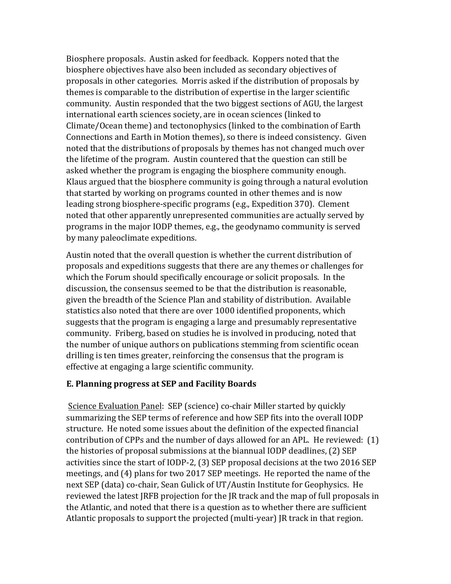Biosphere proposals. Austin asked for feedback. Koppers noted that the biosphere objectives have also been included as secondary objectives of proposals in other categories. Morris asked if the distribution of proposals by themes is comparable to the distribution of expertise in the larger scientific community. Austin responded that the two biggest sections of AGU, the largest international earth sciences society, are in ocean sciences (linked to Climate/Ocean theme) and tectonophysics (linked to the combination of Earth Connections and Earth in Motion themes), so there is indeed consistency. Given noted that the distributions of proposals by themes has not changed much over the lifetime of the program. Austin countered that the question can still be asked whether the program is engaging the biosphere community enough. Klaus argued that the biosphere community is going through a natural evolution that started by working on programs counted in other themes and is now leading strong biosphere-specific programs (e.g., Expedition 370). Clement noted that other apparently unrepresented communities are actually served by programs in the major IODP themes, e.g., the geodynamo community is served by many paleoclimate expeditions.

Austin noted that the overall question is whether the current distribution of proposals and expeditions suggests that there are any themes or challenges for which the Forum should specifically encourage or solicit proposals. In the discussion, the consensus seemed to be that the distribution is reasonable, given the breadth of the Science Plan and stability of distribution. Available statistics also noted that there are over 1000 identified proponents, which suggests that the program is engaging a large and presumably representative community. Friberg, based on studies he is involved in producing, noted that the number of unique authors on publications stemming from scientific ocean drilling is ten times greater, reinforcing the consensus that the program is effective at engaging a large scientific community.

### **E. Planning progress at SEP and Facility Boards**

Science Evaluation Panel: SEP (science) co-chair Miller started by quickly summarizing the SEP terms of reference and how SEP fits into the overall IODP structure. He noted some issues about the definition of the expected financial contribution of CPPs and the number of days allowed for an APL. He reviewed:  $(1)$ the histories of proposal submissions at the biannual IODP deadlines, (2) SEP activities since the start of IODP-2, (3) SEP proposal decisions at the two 2016 SEP meetings, and (4) plans for two 2017 SEP meetings. He reported the name of the next SEP (data) co-chair, Sean Gulick of UT/Austin Institute for Geophysics. He reviewed the latest JRFB projection for the JR track and the map of full proposals in the Atlantic, and noted that there is a question as to whether there are sufficient Atlantic proposals to support the projected (multi-year) JR track in that region.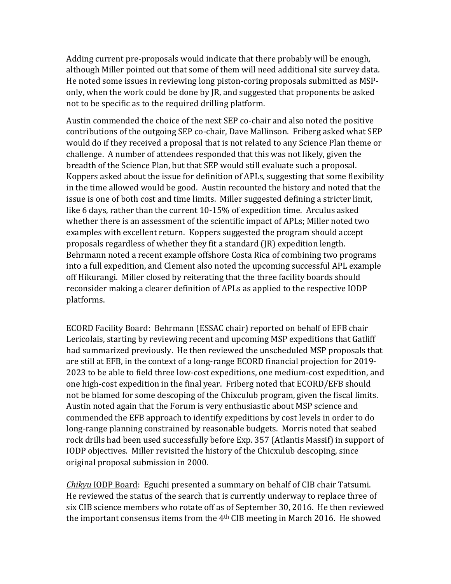Adding current pre-proposals would indicate that there probably will be enough, although Miller pointed out that some of them will need additional site survey data. He noted some issues in reviewing long piston-coring proposals submitted as MSPonly, when the work could be done by  $[R, and suggested that components be asked$ not to be specific as to the required drilling platform.

Austin commended the choice of the next SEP co-chair and also noted the positive contributions of the outgoing SEP co-chair, Dave Mallinson. Friberg asked what SEP would do if they received a proposal that is not related to any Science Plan theme or challenge. A number of attendees responded that this was not likely, given the breadth of the Science Plan, but that SEP would still evaluate such a proposal. Koppers asked about the issue for definition of APLs, suggesting that some flexibility in the time allowed would be good. Austin recounted the history and noted that the issue is one of both cost and time limits. Miller suggested defining a stricter limit, like 6 days, rather than the current  $10-15%$  of expedition time. Arculus asked whether there is an assessment of the scientific impact of APLs; Miller noted two examples with excellent return. Koppers suggested the program should accept proposals regardless of whether they fit a standard (JR) expedition length. Behrmann noted a recent example offshore Costa Rica of combining two programs into a full expedition, and Clement also noted the upcoming successful APL example off Hikurangi. Miller closed by reiterating that the three facility boards should reconsider making a clearer definition of APLs as applied to the respective IODP platforms.

ECORD Facility Board: Behrmann (ESSAC chair) reported on behalf of EFB chair Lericolais, starting by reviewing recent and upcoming MSP expeditions that Gatliff had summarized previously. He then reviewed the unscheduled MSP proposals that are still at EFB, in the context of a long-range ECORD financial projection for 2019-2023 to be able to field three low-cost expeditions, one medium-cost expedition, and one high-cost expedition in the final year. Friberg noted that ECORD/EFB should not be blamed for some descoping of the Chixculub program, given the fiscal limits. Austin noted again that the Forum is very enthusiastic about MSP science and commended the EFB approach to identify expeditions by cost levels in order to do long-range planning constrained by reasonable budgets. Morris noted that seabed rock drills had been used successfully before Exp. 357 (Atlantis Massif) in support of IODP objectives. Miller revisited the history of the Chicxulub descoping, since original proposal submission in 2000.

*Chikyu* IODP Board: Eguchi presented a summary on behalf of CIB chair Tatsumi. He reviewed the status of the search that is currently underway to replace three of six CIB science members who rotate off as of September 30, 2016. He then reviewed the important consensus items from the  $4<sup>th</sup>$  CIB meeting in March 2016. He showed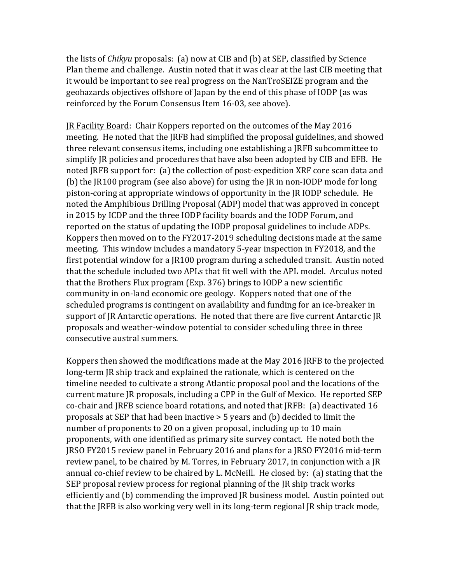the lists of *Chikyu* proposals: (a) now at CIB and (b) at SEP, classified by Science Plan theme and challenge. Austin noted that it was clear at the last CIB meeting that it would be important to see real progress on the NanTroSEIZE program and the geohazards objectives offshore of Japan by the end of this phase of IODP (as was reinforced by the Forum Consensus Item 16-03, see above).

JR Facility Board: Chair Koppers reported on the outcomes of the May 2016 meeting. He noted that the JRFB had simplified the proposal guidelines, and showed three relevant consensus items, including one establishing a JRFB subcommittee to simplify JR policies and procedures that have also been adopted by CIB and EFB. He noted JRFB support for: (a) the collection of post-expedition XRF core scan data and (b) the JR100 program (see also above) for using the JR in non-IODP mode for long piston-coring at appropriate windows of opportunity in the JR IODP schedule. He noted the Amphibious Drilling Proposal (ADP) model that was approved in concept in 2015 by ICDP and the three IODP facility boards and the IODP Forum, and reported on the status of updating the IODP proposal guidelines to include ADPs. Koppers then moved on to the FY2017-2019 scheduling decisions made at the same meeting. This window includes a mandatory 5-year inspection in FY2018, and the first potential window for a JR100 program during a scheduled transit. Austin noted that the schedule included two APLs that fit well with the APL model. Arculus noted that the Brothers Flux program (Exp.  $376$ ) brings to IODP a new scientific community in on-land economic ore geology. Koppers noted that one of the scheduled programs is contingent on availability and funding for an ice-breaker in support of JR Antarctic operations. He noted that there are five current Antarctic JR proposals and weather-window potential to consider scheduling three in three consecutive austral summers.

Koppers then showed the modifications made at the May 2016 JRFB to the projected long-term JR ship track and explained the rationale, which is centered on the timeline needed to cultivate a strong Atlantic proposal pool and the locations of the current mature JR proposals, including a CPP in the Gulf of Mexico. He reported SEP co-chair and JRFB science board rotations, and noted that JRFB: (a) deactivated 16 proposals at SEP that had been inactive  $> 5$  years and (b) decided to limit the number of proponents to 20 on a given proposal, including up to 10 main proponents, with one identified as primary site survey contact. He noted both the JRSO FY2015 review panel in February 2016 and plans for a JRSO FY2016 mid-term review panel, to be chaired by M. Torres, in February 2017, in conjunction with a JR annual co-chief review to be chaired by L. McNeill. He closed by: (a) stating that the SEP proposal review process for regional planning of the JR ship track works efficiently and (b) commending the improved JR business model. Austin pointed out that the JRFB is also working very well in its long-term regional JR ship track mode,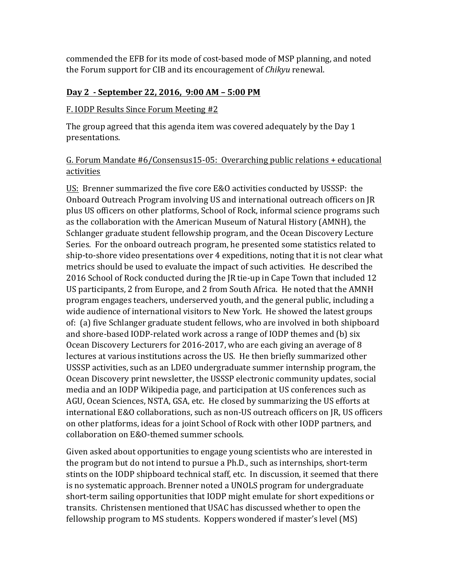commended the EFB for its mode of cost-based mode of MSP planning, and noted the Forum support for CIB and its encouragement of *Chikyu* renewal.

## Day 2 - September 22, 2016, 9:00 AM - 5:00 PM

### F. IODP Results Since Forum Meeting #2

The group agreed that this agenda item was covered adequately by the Day 1 presentations.

## G. Forum Mandate #6/Consensus15-05: Overarching public relations + educational activities

US: Brenner summarized the five core E&O activities conducted by USSSP: the Onboard Outreach Program involving US and international outreach officers on JR plus US officers on other platforms, School of Rock, informal science programs such as the collaboration with the American Museum of Natural History (AMNH), the Schlanger graduate student fellowship program, and the Ocean Discovery Lecture Series. For the onboard outreach program, he presented some statistics related to ship-to-shore video presentations over 4 expeditions, noting that it is not clear what metrics should be used to evaluate the impact of such activities. He described the 2016 School of Rock conducted during the JR tie-up in Cape Town that included 12 US participants, 2 from Europe, and 2 from South Africa. He noted that the AMNH program engages teachers, underserved youth, and the general public, including a wide audience of international visitors to New York. He showed the latest groups of: (a) five Schlanger graduate student fellows, who are involved in both shipboard and shore-based IODP-related work across a range of IODP themes and (b) six Ocean Discovery Lecturers for 2016-2017, who are each giving an average of 8 lectures at various institutions across the US. He then briefly summarized other USSSP activities, such as an LDEO undergraduate summer internship program, the Ocean Discovery print newsletter, the USSSP electronic community updates, social media and an IODP Wikipedia page, and participation at US conferences such as AGU, Ocean Sciences, NSTA, GSA, etc. He closed by summarizing the US efforts at international E&O collaborations, such as non-US outreach officers on JR, US officers on other platforms, ideas for a joint School of Rock with other IODP partners, and collaboration on E&O-themed summer schools.

Given asked about opportunities to engage young scientists who are interested in the program but do not intend to pursue a Ph.D., such as internships, short-term stints on the IODP shipboard technical staff, etc. In discussion, it seemed that there is no systematic approach. Brenner noted a UNOLS program for undergraduate short-term sailing opportunities that IODP might emulate for short expeditions or transits. Christensen mentioned that USAC has discussed whether to open the fellowship program to MS students. Koppers wondered if master's level (MS)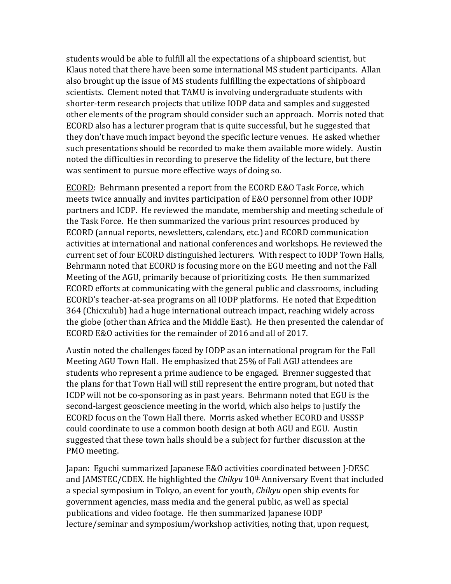students would be able to fulfill all the expectations of a shipboard scientist, but Klaus noted that there have been some international MS student participants. Allan also brought up the issue of MS students fulfilling the expectations of shipboard scientists. Clement noted that TAMU is involving undergraduate students with shorter-term research projects that utilize IODP data and samples and suggested other elements of the program should consider such an approach. Morris noted that ECORD also has a lecturer program that is quite successful, but he suggested that they don't have much impact beyond the specific lecture venues. He asked whether such presentations should be recorded to make them available more widely. Austin noted the difficulties in recording to preserve the fidelity of the lecture, but there was sentiment to pursue more effective ways of doing so.

ECORD: Behrmann presented a report from the ECORD E&O Task Force, which meets twice annually and invites participation of E&O personnel from other IODP partners and ICDP. He reviewed the mandate, membership and meeting schedule of the Task Force. He then summarized the various print resources produced by ECORD (annual reports, newsletters, calendars, etc.) and ECORD communication activities at international and national conferences and workshops. He reviewed the current set of four ECORD distinguished lecturers. With respect to IODP Town Halls, Behrmann noted that ECORD is focusing more on the EGU meeting and not the Fall Meeting of the AGU, primarily because of prioritizing costs. He then summarized ECORD efforts at communicating with the general public and classrooms, including ECORD's teacher-at-sea programs on all IODP platforms. He noted that Expedition 364 (Chicxulub) had a huge international outreach impact, reaching widely across the globe (other than Africa and the Middle East). He then presented the calendar of ECORD E&O activities for the remainder of 2016 and all of 2017.

Austin noted the challenges faced by IODP as an international program for the Fall Meeting AGU Town Hall. He emphasized that 25% of Fall AGU attendees are students who represent a prime audience to be engaged. Brenner suggested that the plans for that Town Hall will still represent the entire program, but noted that ICDP will not be co-sponsoring as in past years. Behrmann noted that EGU is the second-largest geoscience meeting in the world, which also helps to justify the ECORD focus on the Town Hall there. Morris asked whether ECORD and USSSP could coordinate to use a common booth design at both AGU and EGU. Austin suggested that these town halls should be a subject for further discussion at the PMO meeting.

Japan: Eguchi summarized Japanese E&O activities coordinated between J-DESC and JAMSTEC/CDEX. He highlighted the *Chikyu* 10<sup>th</sup> Anniversary Event that included a special symposium in Tokyo, an event for youth, *Chikyu* open ship events for government agencies, mass media and the general public, as well as special publications and video footage. He then summarized Japanese IODP lecture/seminar and symposium/workshop activities, noting that, upon request,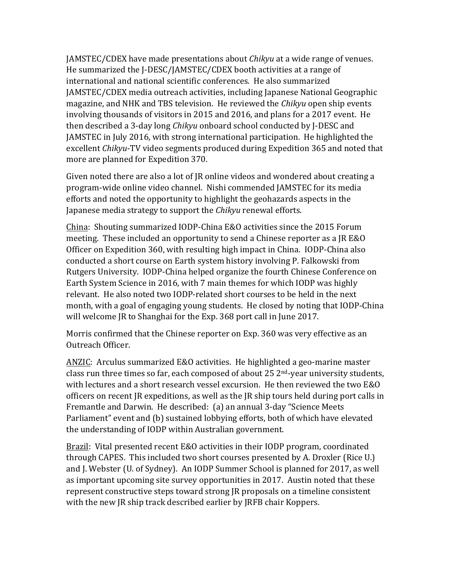**JAMSTEC/CDEX** have made presentations about *Chikyu* at a wide range of venues. He summarized the I-DESC/IAMSTEC/CDEX booth activities at a range of international and national scientific conferences. He also summarized JAMSTEC/CDEX media outreach activities, including Japanese National Geographic magazine, and NHK and TBS television. He reviewed the *Chikyu* open ship events involving thousands of visitors in 2015 and 2016, and plans for a 2017 event. He then described a 3-day long *Chikyu* onboard school conducted by J-DESC and JAMSTEC in July 2016, with strong international participation. He highlighted the excellent *Chikyu*-TV video segments produced during Expedition 365 and noted that more are planned for Expedition 370.

Given noted there are also a lot of  $IR$  online videos and wondered about creating a program-wide online video channel. Nishi commended JAMSTEC for its media efforts and noted the opportunity to highlight the geohazards aspects in the Japanese media strategy to support the *Chikyu* renewal efforts.

China: Shouting summarized IODP-China E&O activities since the 2015 Forum meeting. These included an opportunity to send a Chinese reporter as a JR E&O Officer on Expedition 360, with resulting high impact in China. IODP-China also conducted a short course on Earth system history involving P. Falkowski from Rutgers University. IODP-China helped organize the fourth Chinese Conference on Earth System Science in 2016, with 7 main themes for which IODP was highly relevant. He also noted two IODP-related short courses to be held in the next month, with a goal of engaging young students. He closed by noting that IODP-China will welcome JR to Shanghai for the Exp. 368 port call in June 2017.

Morris confirmed that the Chinese reporter on Exp. 360 was very effective as an Outreach Officer.

ANZIC: Arculus summarized E&O activities. He highlighted a geo-marine master class run three times so far, each composed of about  $25 \, 2^{nd}$ -year university students, with lectures and a short research vessel excursion. He then reviewed the two E&O officers on recent JR expeditions, as well as the JR ship tours held during port calls in Fremantle and Darwin. He described: (a) an annual 3-day "Science Meets Parliament" event and (b) sustained lobbying efforts, both of which have elevated the understanding of IODP within Australian government.

Brazil: Vital presented recent E&O activities in their IODP program, coordinated through CAPES. This included two short courses presented by A. Droxler (Rice U.) and J. Webster (U. of Sydney). An IODP Summer School is planned for 2017, as well as important upcoming site survey opportunities in 2017. Austin noted that these represent constructive steps toward strong IR proposals on a timeline consistent with the new JR ship track described earlier by JRFB chair Koppers.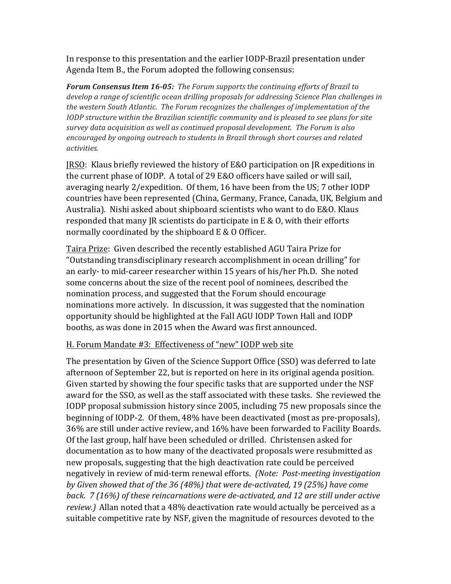In response to this presentation and the earlier IODP-Brazil presentation under Agenda Item B., the Forum adopted the following consensus:

Forum Consensus Item 16-05: The Forum supports the continuing efforts of Brazil to develop a range of scientific ocean drilling proposals for addressing Science Plan challenges in the western South Atlantic. The Forum recognizes the challenges of implementation of the *IODP* structure within the Brazilian scientific community and is pleased to see plans for site survey data acquisition as well as continued proposal development. The Forum is also encouraged by ongoing outreach to students in Brazil through short courses and related *activities.*

JRSO: Klaus briefly reviewed the history of E&O participation on JR expeditions in the current phase of IODP. A total of 29 E&O officers have sailed or will sail, averaging nearly  $2$ /expedition. Of them, 16 have been from the US; 7 other IODP countries have been represented (China, Germany, France, Canada, UK, Belgium and Australia). Nishi asked about shipboard scientists who want to do E&O. Klaus responded that many JR scientists do participate in E & O, with their efforts normally coordinated by the shipboard  $E \& O$  Officer.

Taira Prize: Given described the recently established AGU Taira Prize for "Outstanding transdisciplinary research accomplishment in ocean drilling" for an early- to mid-career researcher within 15 years of his/her Ph.D. She noted some concerns about the size of the recent pool of nominees, described the nomination process, and suggested that the Forum should encourage nominations more actively. In discussion, it was suggested that the nomination opportunity should be highlighted at the Fall AGU IODP Town Hall and IODP booths, as was done in 2015 when the Award was first announced.

### H. Forum Mandate #3: Effectiveness of "new" IODP web site

The presentation by Given of the Science Support Office (SSO) was deferred to late afternoon of September 22, but is reported on here in its original agenda position. Given started by showing the four specific tasks that are supported under the NSF award for the SSO, as well as the staff associated with these tasks. She reviewed the IODP proposal submission history since 2005, including 75 new proposals since the beginning of IODP-2. Of them, 48% have been deactivated (most as pre-proposals), 36% are still under active review, and 16% have been forwarded to Facility Boards. Of the last group, half have been scheduled or drilled. Christensen asked for documentation as to how many of the deactivated proposals were resubmitted as new proposals, suggesting that the high deactivation rate could be perceived negatively in review of mid-term renewal efforts. (Note: Post-meeting investigation by Given showed that of the 36 (48%) that were de-activated, 19 (25%) have come back. 7 (16%) of these reincarnations were de-activated, and 12 are still under active review.) Allan noted that a 48% deactivation rate would actually be perceived as a suitable competitive rate by NSF, given the magnitude of resources devoted to the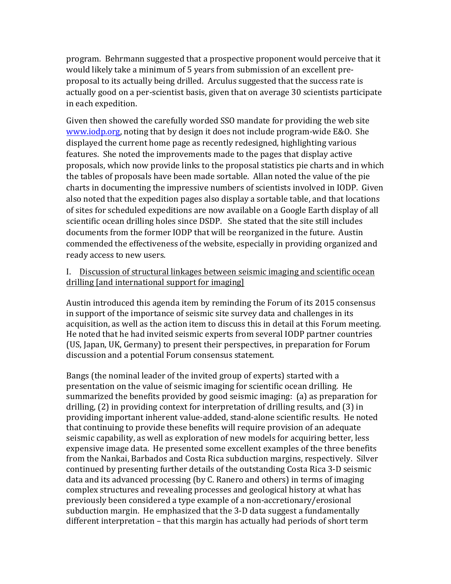program. Behrmann suggested that a prospective proponent would perceive that it would likely take a minimum of 5 years from submission of an excellent preproposal to its actually being drilled. Arculus suggested that the success rate is actually good on a per-scientist basis, given that on average 30 scientists participate in each expedition.

Given then showed the carefully worded SSO mandate for providing the web site www.iodp.org, noting that by design it does not include program-wide E&O. She displayed the current home page as recently redesigned, highlighting various features. She noted the improvements made to the pages that display active proposals, which now provide links to the proposal statistics pie charts and in which the tables of proposals have been made sortable. Allan noted the value of the pie charts in documenting the impressive numbers of scientists involved in IODP. Given also noted that the expedition pages also display a sortable table, and that locations of sites for scheduled expeditions are now available on a Google Earth display of all scientific ocean drilling holes since DSDP. She stated that the site still includes documents from the former IODP that will be reorganized in the future. Austin commended the effectiveness of the website, especially in providing organized and ready access to new users.

### I. Discussion of structural linkages between seismic imaging and scientific ocean drilling [and international support for imaging]

Austin introduced this agenda item by reminding the Forum of its 2015 consensus in support of the importance of seismic site survey data and challenges in its acquisition, as well as the action item to discuss this in detail at this Forum meeting. He noted that he had invited seismic experts from several IODP partner countries (US, Japan, UK, Germany) to present their perspectives, in preparation for Forum discussion and a potential Forum consensus statement.

Bangs (the nominal leader of the invited group of experts) started with a presentation on the value of seismic imaging for scientific ocean drilling. He summarized the benefits provided by good seismic imaging: (a) as preparation for drilling,  $(2)$  in providing context for interpretation of drilling results, and  $(3)$  in providing important inherent value-added, stand-alone scientific results. He noted that continuing to provide these benefits will require provision of an adequate seismic capability, as well as exploration of new models for acquiring better, less expensive image data. He presented some excellent examples of the three benefits from the Nankai, Barbados and Costa Rica subduction margins, respectively. Silver continued by presenting further details of the outstanding Costa Rica 3-D seismic data and its advanced processing (by C. Ranero and others) in terms of imaging complex structures and revealing processes and geological history at what has previously been considered a type example of a non-accretionary/erosional subduction margin. He emphasized that the 3-D data suggest a fundamentally different interpretation - that this margin has actually had periods of short term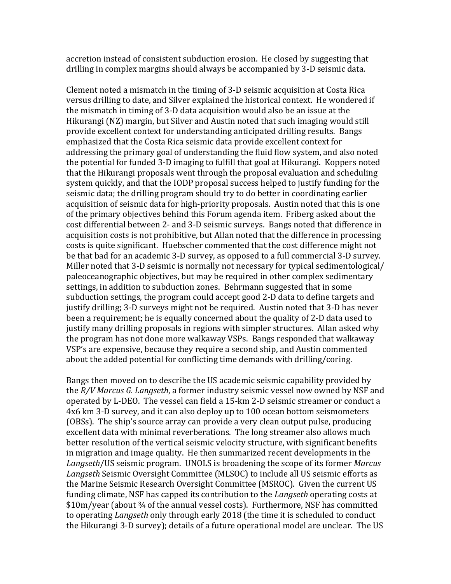accretion instead of consistent subduction erosion. He closed by suggesting that drilling in complex margins should always be accompanied by 3-D seismic data.

Clement noted a mismatch in the timing of 3-D seismic acquisition at Costa Rica versus drilling to date, and Silver explained the historical context. He wondered if the mismatch in timing of 3-D data acquisition would also be an issue at the Hikurangi (NZ) margin, but Silver and Austin noted that such imaging would still provide excellent context for understanding anticipated drilling results. Bangs emphasized that the Costa Rica seismic data provide excellent context for addressing the primary goal of understanding the fluid flow system, and also noted the potential for funded 3-D imaging to fulfill that goal at Hikurangi. Koppers noted that the Hikurangi proposals went through the proposal evaluation and scheduling system quickly, and that the IODP proposal success helped to justify funding for the seismic data; the drilling program should try to do better in coordinating earlier acquisition of seismic data for high-priority proposals. Austin noted that this is one of the primary objectives behind this Forum agenda item. Friberg asked about the cost differential between 2- and 3-D seismic surveys. Bangs noted that difference in acquisition costs is not prohibitive, but Allan noted that the difference in processing costs is quite significant. Huebscher commented that the cost difference might not be that bad for an academic 3-D survey, as opposed to a full commercial 3-D survey. Miller noted that 3-D seismic is normally not necessary for typical sedimentological/ paleoceanographic objectives, but may be required in other complex sedimentary settings, in addition to subduction zones. Behrmann suggested that in some subduction settings, the program could accept good 2-D data to define targets and justify drilling; 3-D surveys might not be required. Austin noted that 3-D has never been a requirement; he is equally concerned about the quality of 2-D data used to justify many drilling proposals in regions with simpler structures. Allan asked why the program has not done more walkaway VSPs. Bangs responded that walkaway VSP's are expensive, because they require a second ship, and Austin commented about the added potential for conflicting time demands with drilling/coring.

Bangs then moved on to describe the US academic seismic capability provided by the R/V Marcus G. Langseth, a former industry seismic vessel now owned by NSF and operated by L-DEO. The vessel can field a 15-km 2-D seismic streamer or conduct a 4x6 km 3-D survey, and it can also deploy up to 100 ocean bottom seismometers (OBSs). The ship's source array can provide a very clean output pulse, producing excellent data with minimal reverberations. The long streamer also allows much better resolution of the vertical seismic velocity structure, with significant benefits in migration and image quality. He then summarized recent developments in the Langseth/US seismic program. UNOLS is broadening the scope of its former Marcus Langseth Seismic Oversight Committee (MLSOC) to include all US seismic efforts as the Marine Seismic Research Oversight Committee (MSROC). Given the current US funding climate, NSF has capped its contribution to the *Langseth* operating costs at \$10m/year (about 3/4 of the annual vessel costs). Furthermore, NSF has committed to operating *Langseth* only through early 2018 (the time it is scheduled to conduct the Hikurangi 3-D survey); details of a future operational model are unclear. The US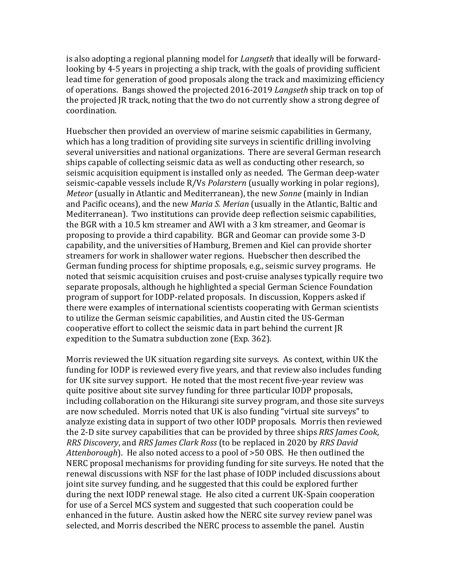is also adopting a regional planning model for *Langseth* that ideally will be forwardlooking by 4-5 years in projecting a ship track, with the goals of providing sufficient lead time for generation of good proposals along the track and maximizing efficiency of operations. Bangs showed the projected 2016-2019 *Langseth* ship track on top of the projected JR track, noting that the two do not currently show a strong degree of coordination. 

Huebscher then provided an overview of marine seismic capabilities in Germany, which has a long tradition of providing site surveys in scientific drilling involving several universities and national organizations. There are several German research ships capable of collecting seismic data as well as conducting other research, so seismic acquisition equipment is installed only as needed. The German deep-water seismic-capable vessels include R/Vs *Polarstern* (usually working in polar regions), *Meteor* (usually in Atlantic and Mediterranean), the new *Sonne* (mainly in Indian and Pacific oceans), and the new *Maria S. Merian* (usually in the Atlantic, Baltic and Mediterranean). Two institutions can provide deep reflection seismic capabilities, the BGR with a 10.5 km streamer and AWI with a 3 km streamer, and Geomar is proposing to provide a third capability. BGR and Geomar can provide some 3-D capability, and the universities of Hamburg, Bremen and Kiel can provide shorter streamers for work in shallower water regions. Huebscher then described the German funding process for shiptime proposals, e.g., seismic survey programs. He noted that seismic acquisition cruises and post-cruise analyses typically require two separate proposals, although he highlighted a special German Science Foundation program of support for IODP-related proposals. In discussion, Koppers asked if there were examples of international scientists cooperating with German scientists to utilize the German seismic capabilities, and Austin cited the US-German cooperative effort to collect the seismic data in part behind the current JR expedition to the Sumatra subduction zone (Exp. 362).

Morris reviewed the UK situation regarding site surveys. As context, within UK the funding for IODP is reviewed every five years, and that review also includes funding for UK site survey support. He noted that the most recent five-year review was quite positive about site survey funding for three particular IODP proposals, including collaboration on the Hikurangi site survey program, and those site surveys are now scheduled. Morris noted that UK is also funding "virtual site surveys" to analyze existing data in support of two other IODP proposals. Morris then reviewed the 2-D site survey capabilities that can be provided by three ships RRS James Cook, *RRS Discovery*, and *RRS James Clark Ross* (to be replaced in 2020 by *RRS David* Attenborough). He also noted access to a pool of >50 OBS. He then outlined the NERC proposal mechanisms for providing funding for site surveys. He noted that the renewal discussions with NSF for the last phase of IODP included discussions about joint site survey funding, and he suggested that this could be explored further during the next IODP renewal stage. He also cited a current UK-Spain cooperation for use of a Sercel MCS system and suggested that such cooperation could be enhanced in the future. Austin asked how the NERC site survey review panel was selected, and Morris described the NERC process to assemble the panel. Austin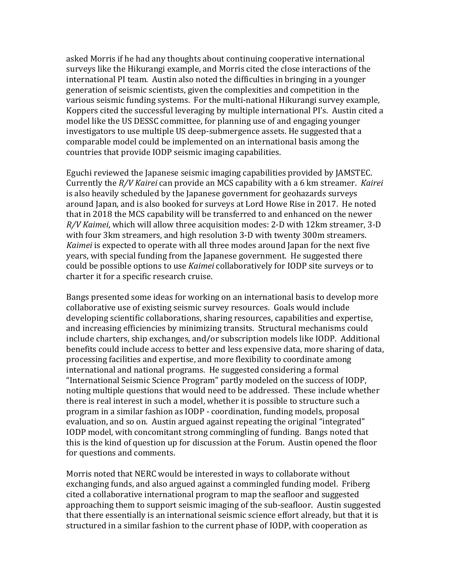asked Morris if he had any thoughts about continuing cooperative international surveys like the Hikurangi example, and Morris cited the close interactions of the international PI team. Austin also noted the difficulties in bringing in a vounger generation of seismic scientists, given the complexities and competition in the various seismic funding systems. For the multi-national Hikurangi survey example, Koppers cited the successful leveraging by multiple international PI's. Austin cited a model like the US DESSC committee, for planning use of and engaging younger investigators to use multiple US deep-submergence assets. He suggested that a comparable model could be implemented on an international basis among the countries that provide IODP seismic imaging capabilities.

Eguchi reviewed the Japanese seismic imaging capabilities provided by JAMSTEC. Currently the *R/V Kairei* can provide an MCS capability with a 6 km streamer. *Kairei* is also heavily scheduled by the Japanese government for geohazards surveys around Japan, and is also booked for surveys at Lord Howe Rise in 2017. He noted that in 2018 the MCS capability will be transferred to and enhanced on the newer *R/V Kaimei*, which will allow three acquisition modes: 2-D with 12km streamer, 3-D with four 3km streamers, and high resolution 3-D with twenty 300m streamers. *Kaimei* is expected to operate with all three modes around Japan for the next five years, with special funding from the Japanese government. He suggested there could be possible options to use *Kaimei* collaboratively for IODP site surveys or to charter it for a specific research cruise.

Bangs presented some ideas for working on an international basis to develop more collaborative use of existing seismic survey resources. Goals would include developing scientific collaborations, sharing resources, capabilities and expertise, and increasing efficiencies by minimizing transits. Structural mechanisms could include charters, ship exchanges, and/or subscription models like IODP. Additional benefits could include access to better and less expensive data, more sharing of data, processing facilities and expertise, and more flexibility to coordinate among international and national programs. He suggested considering a formal "International Seismic Science Program" partly modeled on the success of IODP, noting multiple questions that would need to be addressed. These include whether there is real interest in such a model, whether it is possible to structure such a program in a similar fashion as IODP - coordination, funding models, proposal evaluation, and so on. Austin argued against repeating the original "integrated" IODP model, with concomitant strong commingling of funding. Bangs noted that this is the kind of question up for discussion at the Forum. Austin opened the floor for questions and comments.

Morris noted that NERC would be interested in ways to collaborate without exchanging funds, and also argued against a commingled funding model. Friberg cited a collaborative international program to map the seafloor and suggested approaching them to support seismic imaging of the sub-seafloor. Austin suggested that there essentially is an international seismic science effort already, but that it is structured in a similar fashion to the current phase of IODP, with cooperation as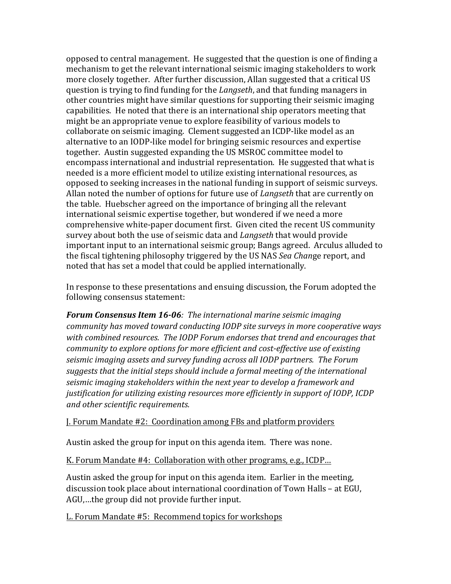opposed to central management. He suggested that the question is one of finding a mechanism to get the relevant international seismic imaging stakeholders to work more closely together. After further discussion, Allan suggested that a critical US question is trying to find funding for the *Langseth*, and that funding managers in other countries might have similar questions for supporting their seismic imaging capabilities. He noted that there is an international ship operators meeting that might be an appropriate venue to explore feasibility of various models to collaborate on seismic imaging. Clement suggested an ICDP-like model as an alternative to an IODP-like model for bringing seismic resources and expertise together. Austin suggested expanding the US MSROC committee model to encompass international and industrial representation. He suggested that what is needed is a more efficient model to utilize existing international resources, as opposed to seeking increases in the national funding in support of seismic surveys. Allan noted the number of options for future use of *Langseth* that are currently on the table. Huebscher agreed on the importance of bringing all the relevant international seismic expertise together, but wondered if we need a more comprehensive white-paper document first. Given cited the recent US community survey about both the use of seismic data and *Langseth* that would provide important input to an international seismic group; Bangs agreed. Arculus alluded to the fiscal tightening philosophy triggered by the US NAS Sea Change report, and noted that has set a model that could be applied internationally.

In response to these presentations and ensuing discussion, the Forum adopted the following consensus statement:

**Forum Consensus Item 16-06**: The international marine seismic imaging *community has moved toward conducting IODP site surveys in more cooperative ways* with combined resources. The IODP Forum endorses that trend and encourages that community to explore options for more efficient and cost-effective use of existing seismic imaging assets and survey funding across all IODP partners. The Forum suggests that the initial steps should include a formal meeting of the international seismic imaging stakeholders within the next year to develop a framework and justification for utilizing existing resources more efficiently in support of IODP, ICDP and other scientific requirements.

#### **J. Forum Mandate #2: Coordination among FBs and platform providers**

Austin asked the group for input on this agenda item. There was none.

K. Forum Mandate #4: Collaboration with other programs, e.g., ICDP...

Austin asked the group for input on this agenda item. Earlier in the meeting, discussion took place about international coordination of Town Halls - at EGU, AGU,...the group did not provide further input.

L. Forum Mandate #5: Recommend topics for workshops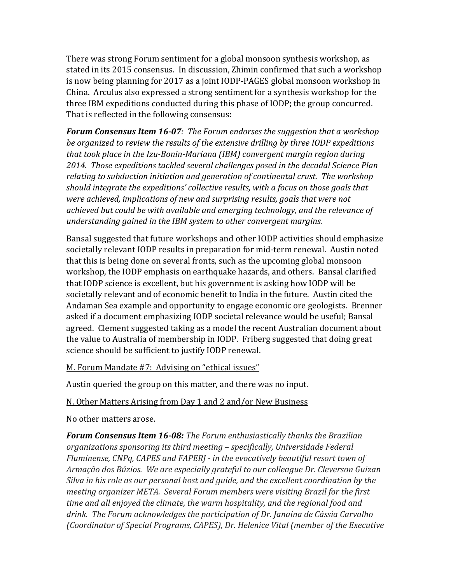There was strong Forum sentiment for a global monsoon synthesis workshop, as stated in its 2015 consensus. In discussion, Zhimin confirmed that such a workshop is now being planning for 2017 as a joint IODP-PAGES global monsoon workshop in China. Arculus also expressed a strong sentiment for a synthesis workshop for the three IBM expeditions conducted during this phase of IODP; the group concurred. That is reflected in the following consensus:

**Forum Consensus Item 16-07**: The Forum endorses the suggestion that a workshop be organized to review the results of the extensive drilling by three IODP expeditions that took place in the Izu-Bonin-Mariana (IBM) convergent margin region during 2014. Those expeditions tackled several challenges posed in the decadal Science Plan relating to subduction initiation and generation of continental crust. The workshop should integrate the expeditions' collective results, with a focus on those goals that were achieved, implications of new and surprising results, goals that were not achieved but could be with available and emerging technology, and the relevance of understanding gained in the IBM system to other convergent margins.

Bansal suggested that future workshops and other IODP activities should emphasize societally relevant IODP results in preparation for mid-term renewal. Austin noted that this is being done on several fronts, such as the upcoming global monsoon workshop, the IODP emphasis on earthquake hazards, and others. Bansal clarified that IODP science is excellent, but his government is asking how IODP will be societally relevant and of economic benefit to India in the future. Austin cited the Andaman Sea example and opportunity to engage economic ore geologists. Brenner asked if a document emphasizing IODP societal relevance would be useful; Bansal agreed. Clement suggested taking as a model the recent Australian document about the value to Australia of membership in IODP. Friberg suggested that doing great science should be sufficient to justify IODP renewal.

M. Forum Mandate #7: Advising on "ethical issues"

Austin queried the group on this matter, and there was no input.

# N. Other Matters Arising from Day 1 and 2 and/or New Business

No other matters arose.

**Forum Consensus Item 16-08:** The Forum enthusiastically thanks the Brazilian organizations sponsoring its third meeting – specifically, Universidade Federal Fluminense, CNPq, CAPES and FAPERJ - in the evocatively beautiful resort town of Armação dos Búzios. We are especially grateful to our colleague Dr. Cleverson Guizan Silva in his role as our personal host and guide, and the excellent coordination by the meeting organizer META. Several Forum members were visiting Brazil for the first time and all enjoyed the climate, the warm hospitality, and the regional food and drink. The Forum acknowledges the participation of Dr. Janaina de Cássia Carvalho (Coordinator of Special Programs, CAPES), Dr. Helenice Vital (member of the Executive